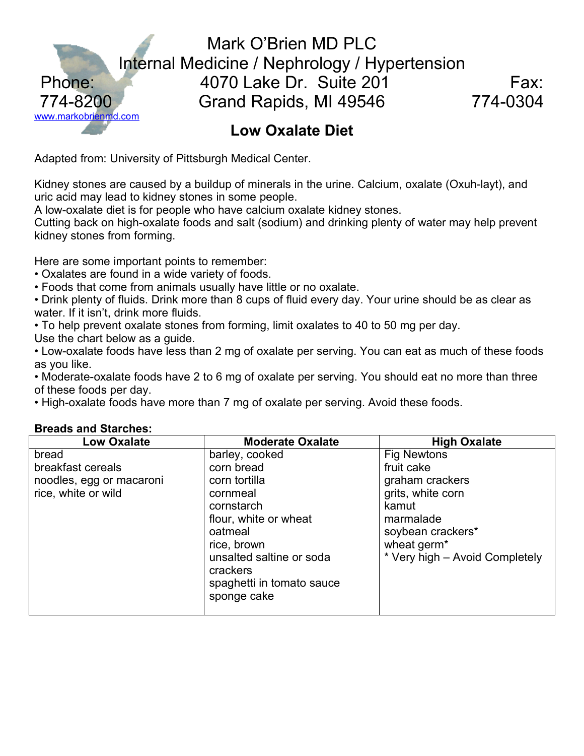

Adapted from: University of Pittsburgh Medical Center.

Kidney stones are caused by a buildup of minerals in the urine. Calcium, oxalate (Oxuh-layt), and uric acid may lead to kidney stones in some people.

A low-oxalate diet is for people who have calcium oxalate kidney stones.

Cutting back on high-oxalate foods and salt (sodium) and drinking plenty of water may help prevent kidney stones from forming.

Here are some important points to remember:

- Oxalates are found in a wide variety of foods.
- Foods that come from animals usually have little or no oxalate.

• Drink plenty of fluids. Drink more than 8 cups of fluid every day. Your urine should be as clear as water. If it isn't, drink more fluids.

• To help prevent oxalate stones from forming, limit oxalates to 40 to 50 mg per day.

Use the chart below as a guide.

• Low-oxalate foods have less than 2 mg of oxalate per serving. You can eat as much of these foods as you like.

• Moderate-oxalate foods have 2 to 6 mg of oxalate per serving. You should eat no more than three of these foods per day.

• High-oxalate foods have more than 7 mg of oxalate per serving. Avoid these foods.

| <b>Low Oxalate</b>                                                            | <b>Moderate Oxalate</b>                                                                                                                                                                                        | <b>High Oxalate</b>                                                                                                                                                              |
|-------------------------------------------------------------------------------|----------------------------------------------------------------------------------------------------------------------------------------------------------------------------------------------------------------|----------------------------------------------------------------------------------------------------------------------------------------------------------------------------------|
| bread<br>breakfast cereals<br>noodles, egg or macaroni<br>rice, white or wild | barley, cooked<br>corn bread<br>corn tortilla<br>cornmeal<br>cornstarch<br>flour, white or wheat<br>oatmeal<br>rice, brown<br>unsalted saltine or soda<br>crackers<br>spaghetti in tomato sauce<br>sponge cake | <b>Fig Newtons</b><br>fruit cake<br>graham crackers<br>grits, white corn<br>kamut<br>marmalade<br>soybean crackers*<br>wheat germ <sup>*</sup><br>* Very high - Avoid Completely |

#### **Bre**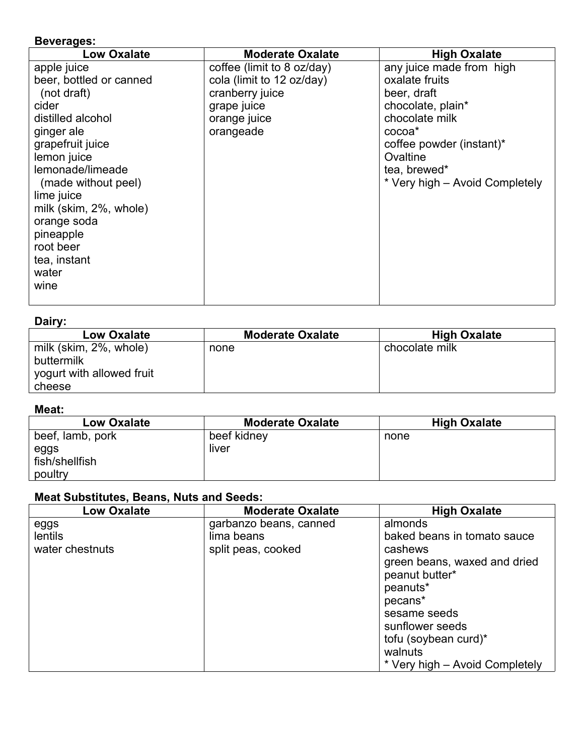#### **Beverages:**

| <b>Low Oxalate</b>      | <b>Moderate Oxalate</b>    | <b>High Oxalate</b>            |
|-------------------------|----------------------------|--------------------------------|
| apple juice             | coffee (limit to 8 oz/day) | any juice made from high       |
| beer, bottled or canned | cola (limit to 12 oz/day)  | oxalate fruits                 |
| (not draft)             | cranberry juice            | beer, draft                    |
| cider                   | grape juice                | chocolate, plain*              |
| distilled alcohol       | orange juice               | chocolate milk                 |
| ginger ale              | orangeade                  | cocoa <sup>*</sup>             |
| grapefruit juice        |                            | coffee powder (instant)*       |
| lemon juice             |                            | Ovaltine                       |
| lemonade/limeade        |                            | tea, brewed*                   |
| (made without peel)     |                            | * Very high – Avoid Completely |
| lime juice              |                            |                                |
| milk (skim, 2%, whole)  |                            |                                |
| orange soda             |                            |                                |
| pineapple               |                            |                                |
| root beer               |                            |                                |
| tea, instant            |                            |                                |
| water                   |                            |                                |
| wine                    |                            |                                |
|                         |                            |                                |

#### **Dairy:**

| <b>Low Oxalate</b>                                                          | <b>Moderate Oxalate</b> | <b>High Oxalate</b> |
|-----------------------------------------------------------------------------|-------------------------|---------------------|
| milk (skim, 2%, whole)<br>buttermilk<br>yogurt with allowed fruit<br>cheese | none                    | chocolate milk      |

# **Meat:**

| <b>Low Oxalate</b> | <b>Moderate Oxalate</b> | <b>High Oxalate</b> |
|--------------------|-------------------------|---------------------|
| beef, lamb, pork   | beef kidney             | none                |
| eggs               | liver                   |                     |
| fish/shellfish     |                         |                     |
| poultry            |                         |                     |

# **Meat Substitutes, Beans, Nuts and Seeds:**

| <b>Low Oxalate</b> | <b>Moderate Oxalate</b> | <b>High Oxalate</b>            |
|--------------------|-------------------------|--------------------------------|
| eggs               | garbanzo beans, canned  | almonds                        |
| lentils            | lima beans              | baked beans in tomato sauce    |
| water chestnuts    | split peas, cooked      | cashews                        |
|                    |                         | green beans, waxed and dried   |
|                    |                         | peanut butter*                 |
|                    |                         | peanuts*                       |
|                    |                         | pecans*                        |
|                    |                         | sesame seeds                   |
|                    |                         | sunflower seeds                |
|                    |                         | tofu (soybean curd)*           |
|                    |                         | walnuts                        |
|                    |                         | * Very high – Avoid Completely |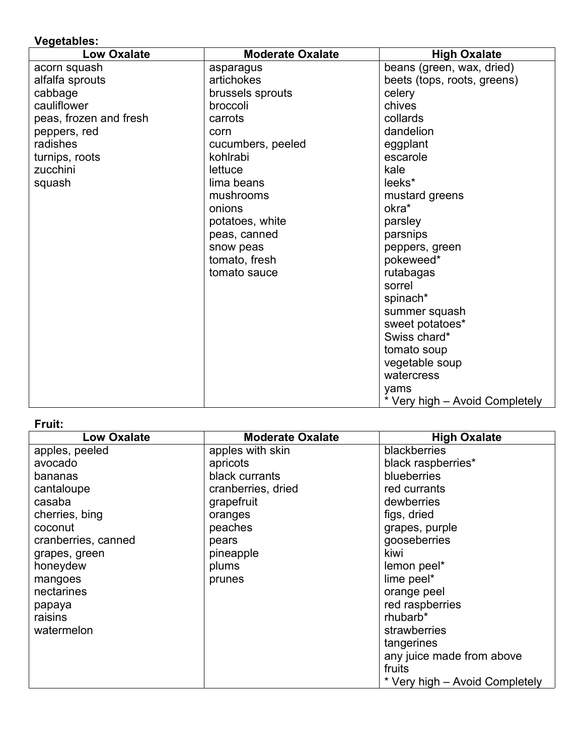# **Vegetables:**

| <b>Low Oxalate</b>     | <b>Moderate Oxalate</b> | <b>High Oxalate</b>            |
|------------------------|-------------------------|--------------------------------|
| acorn squash           | asparagus               | beans (green, wax, dried)      |
| alfalfa sprouts        | artichokes              | beets (tops, roots, greens)    |
| cabbage                | brussels sprouts        | celery                         |
| cauliflower            | broccoli                | chives                         |
| peas, frozen and fresh | carrots                 | collards                       |
| peppers, red           | corn                    | dandelion                      |
| radishes               | cucumbers, peeled       | eggplant                       |
| turnips, roots         | kohlrabi                | escarole                       |
| zucchini               | lettuce                 | kale                           |
| squash                 | lima beans              | leeks*                         |
|                        | mushrooms               | mustard greens                 |
|                        | onions                  | okra*                          |
|                        | potatoes, white         | parsley                        |
|                        | peas, canned            | parsnips                       |
|                        | snow peas               | peppers, green                 |
|                        | tomato, fresh           | pokeweed*                      |
|                        | tomato sauce            | rutabagas                      |
|                        |                         | sorrel                         |
|                        |                         | spinach*                       |
|                        |                         | summer squash                  |
|                        |                         | sweet potatoes*                |
|                        |                         | Swiss chard*                   |
|                        |                         | tomato soup                    |
|                        |                         | vegetable soup                 |
|                        |                         | watercress                     |
|                        |                         | yams                           |
|                        |                         | * Very high - Avoid Completely |

# **Fruit:**

| <b>Low Oxalate</b>  | <b>Moderate Oxalate</b> | <b>High Oxalate</b>            |
|---------------------|-------------------------|--------------------------------|
| apples, peeled      | apples with skin        | blackberries                   |
| avocado             | apricots                | black raspberries*             |
| bananas             | black currants          | blueberries                    |
| cantaloupe          | cranberries, dried      | red currants                   |
| casaba              | grapefruit              | dewberries                     |
| cherries, bing      | oranges                 | figs, dried                    |
| coconut             | peaches                 | grapes, purple                 |
| cranberries, canned | pears                   | gooseberries                   |
| grapes, green       | pineapple               | kiwi                           |
| honeydew            | plums                   | lemon peel*                    |
| mangoes             | prunes                  | lime peel*                     |
| nectarines          |                         | orange peel                    |
| papaya              |                         | red raspberries                |
| raisins             |                         | rhubarb*                       |
| watermelon          |                         | strawberries                   |
|                     |                         | tangerines                     |
|                     |                         | any juice made from above      |
|                     |                         | fruits                         |
|                     |                         | * Very high – Avoid Completely |